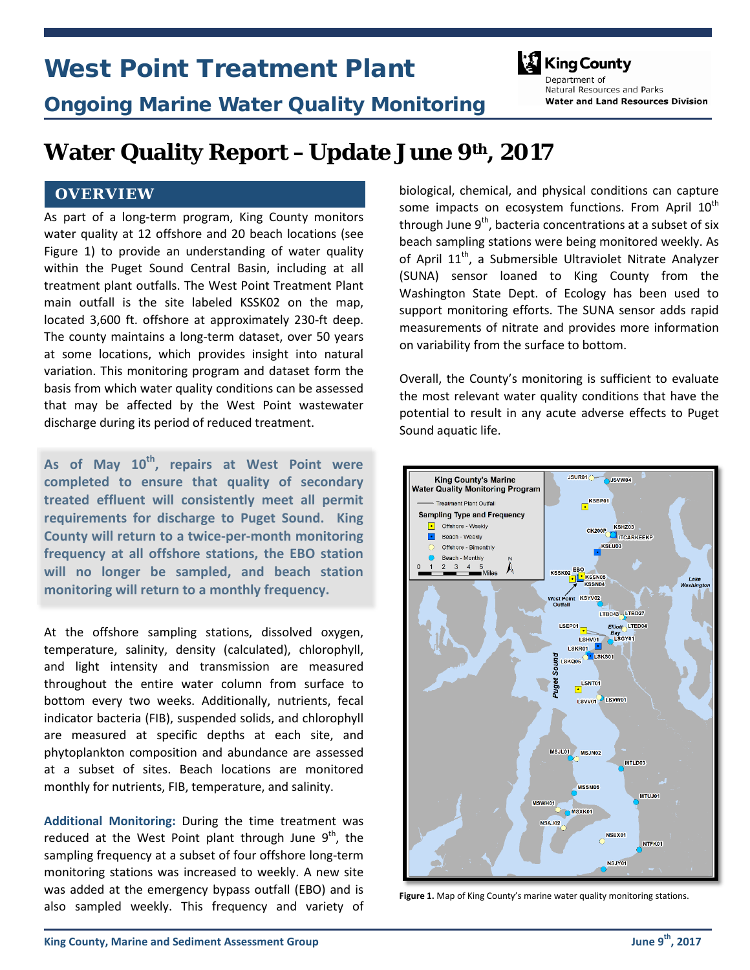# West Point Treatment Plant



Natural Resources and Parks

**Water and Land Resources Division** 

# Ongoing Marine Water Quality Monitoring

**Water Quality Report –Update June 9th, 2017**

#### **OVERVIEW**

As part of a long-term program, King County monitors water quality at 12 offshore and 20 beach locations (see Figure 1) to provide an understanding of water quality within the Puget Sound Central Basin, including at all treatment plant outfalls. The West Point Treatment Plant main outfall is the site labeled KSSK02 on the map, located 3,600 ft. offshore at approximately 230-ft deep. The county maintains a long-term dataset, over 50 years at some locations, which provides insight into natural variation. This monitoring program and dataset form the basis from which water quality conditions can be assessed that may be affected by the West Point wastewater discharge during its period of reduced treatment.

**As of May 10th, repairs at West Point were completed to ensure that quality of secondary treated effluent will consistently meet all permit requirements for discharge to Puget Sound. King County will return to a twice-per-month monitoring frequency at all offshore stations, the EBO station will no longer be sampled, and beach station monitoring will return to a monthly frequency.**

At the offshore sampling stations, dissolved oxygen, temperature, salinity, density (calculated), chlorophyll, and light intensity and transmission are measured throughout the entire water column from surface to bottom every two weeks. Additionally, nutrients, fecal indicator bacteria (FIB), suspended solids, and chlorophyll are measured at specific depths at each site, and phytoplankton composition and abundance are assessed at a subset of sites. Beach locations are monitored monthly for nutrients, FIB, temperature, and salinity.

**Additional Monitoring:** During the time treatment was reduced at the West Point plant through June  $9<sup>th</sup>$ , the sampling frequency at a subset of four offshore long-term monitoring stations was increased to weekly. A new site was added at the emergency bypass outfall (EBO) and is also sampled weekly. This frequency and variety of biological, chemical, and physical conditions can capture some impacts on ecosystem functions. From April  $10<sup>th</sup>$ through June  $9<sup>th</sup>$ , bacteria concentrations at a subset of six beach sampling stations were being monitored weekly. As of April  $11<sup>th</sup>$ , a Submersible Ultraviolet Nitrate Analyzer (SUNA) sensor loaned to King County from the Washington State Dept. of Ecology has been used to support monitoring efforts. The SUNA sensor adds rapid measurements of nitrate and provides more information on variability from the surface to bottom.

Overall, the County's monitoring is sufficient to evaluate the most relevant water quality conditions that have the potential to result in any acute adverse effects to Puget Sound aquatic life.



**Figure 1.** Map of King County's marine water quality monitoring stations.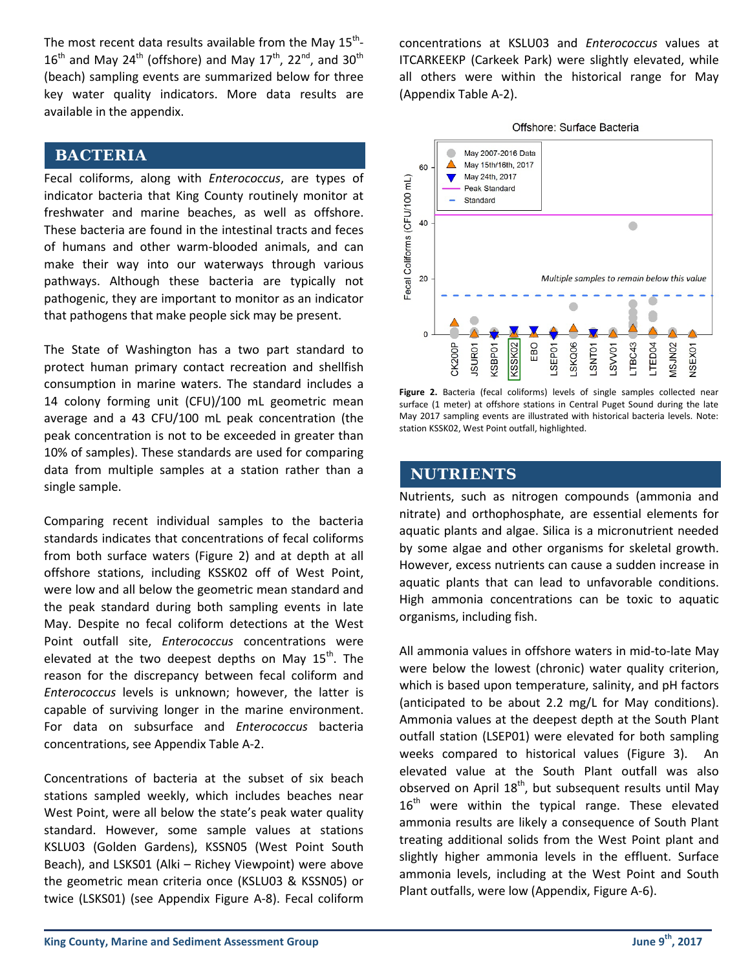The most recent data results available from the May  $15^{th}$ - $16<sup>th</sup>$  and May 24<sup>th</sup> (offshore) and May 17<sup>th</sup>, 22<sup>nd</sup>, and 30<sup>th</sup> (beach) sampling events are summarized below for three key water quality indicators. More data results are available in the appendix.

#### **BACTERIA**

Fecal coliforms, along with *Enterococcus*, are types of indicator bacteria that King County routinely monitor at freshwater and marine beaches, as well as offshore. These bacteria are found in the intestinal tracts and feces of humans and other warm-blooded animals, and can make their way into our waterways through various pathways. Although these bacteria are typically not pathogenic, they are important to monitor as an indicator that pathogens that make people sick may be present.

The State of Washington has a two part standard to protect human primary contact recreation and shellfish consumption in marine waters. The standard includes a 14 colony forming unit (CFU)/100 mL geometric mean average and a 43 CFU/100 mL peak concentration (the peak concentration is not to be exceeded in greater than 10% of samples). These standards are used for comparing data from multiple samples at a station rather than a single sample.

Comparing recent individual samples to the bacteria standards indicates that concentrations of fecal coliforms from both surface waters (Figure 2) and at depth at all offshore stations, including KSSK02 off of West Point, were low and all below the geometric mean standard and the peak standard during both sampling events in late May. Despite no fecal coliform detections at the West Point outfall site, *Enterococcus* concentrations were elevated at the two deepest depths on May  $15<sup>th</sup>$ . The reason for the discrepancy between fecal coliform and *Enterococcus* levels is unknown; however, the latter is capable of surviving longer in the marine environment. For data on subsurface and *Enterococcus* bacteria concentrations, see Appendix Table A-2.

Concentrations of bacteria at the subset of six beach stations sampled weekly, which includes beaches near West Point, were all below the state's peak water quality standard. However, some sample values at stations KSLU03 (Golden Gardens), KSSN05 (West Point South Beach), and LSKS01 (Alki – Richey Viewpoint) were above the geometric mean criteria once (KSLU03 & KSSN05) or twice (LSKS01) (see Appendix Figure A-8). Fecal coliform concentrations at KSLU03 and *Enterococcus* values at ITCARKEEKP (Carkeek Park) were slightly elevated, while all others were within the historical range for May (Appendix Table A-2).



**Figure 2.** Bacteria (fecal coliforms) levels of single samples collected near surface (1 meter) at offshore stations in Central Puget Sound during the late May 2017 sampling events are illustrated with historical bacteria levels. Note: station KSSK02, West Point outfall, highlighted.

#### **NUTRIENTS**

Nutrients, such as nitrogen compounds (ammonia and nitrate) and orthophosphate, are essential elements for aquatic plants and algae. Silica is a micronutrient needed by some algae and other organisms for skeletal growth. However, excess nutrients can cause a sudden increase in aquatic plants that can lead to unfavorable conditions. High ammonia concentrations can be toxic to aquatic organisms, including fish.

All ammonia values in offshore waters in mid-to-late May were below the lowest (chronic) water quality criterion, which is based upon temperature, salinity, and pH factors (anticipated to be about 2.2 mg/L for May conditions). Ammonia values at the deepest depth at the South Plant outfall station (LSEP01) were elevated for both sampling weeks compared to historical values (Figure 3). An elevated value at the South Plant outfall was also observed on April  $18<sup>th</sup>$ , but subsequent results until May  $16<sup>th</sup>$  were within the typical range. These elevated ammonia results are likely a consequence of South Plant treating additional solids from the West Point plant and slightly higher ammonia levels in the effluent. Surface ammonia levels, including at the West Point and South Plant outfalls, were low (Appendix, Figure A-6).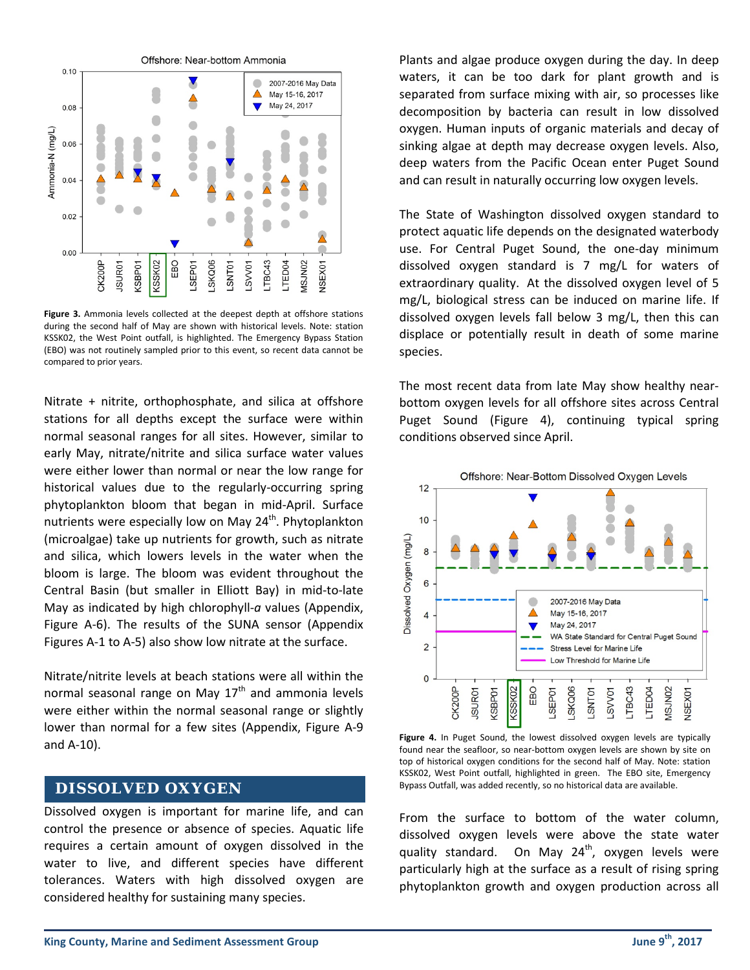

**Figure 3.** Ammonia levels collected at the deepest depth at offshore stations during the second half of May are shown with historical levels. Note: station KSSK02, the West Point outfall, is highlighted. The Emergency Bypass Station (EBO) was not routinely sampled prior to this event, so recent data cannot be compared to prior years.

Nitrate + nitrite, orthophosphate, and silica at offshore stations for all depths except the surface were within normal seasonal ranges for all sites. However, similar to early May, nitrate/nitrite and silica surface water values were either lower than normal or near the low range for historical values due to the regularly-occurring spring phytoplankton bloom that began in mid-April. Surface nutrients were especially low on May  $24<sup>th</sup>$ . Phytoplankton (microalgae) take up nutrients for growth, such as nitrate and silica, which lowers levels in the water when the bloom is large. The bloom was evident throughout the Central Basin (but smaller in Elliott Bay) in mid-to-late May as indicated by high chlorophyll-*a* values (Appendix, Figure A-6). The results of the SUNA sensor (Appendix Figures A-1 to A-5) also show low nitrate at the surface.

Nitrate/nitrite levels at beach stations were all within the normal seasonal range on May  $17<sup>th</sup>$  and ammonia levels were either within the normal seasonal range or slightly lower than normal for a few sites (Appendix, Figure A-9 and A-10).

## **DISSOLVED OXYGEN**

Dissolved oxygen is important for marine life, and can control the presence or absence of species. Aquatic life requires a certain amount of oxygen dissolved in the water to live, and different species have different tolerances. Waters with high dissolved oxygen are considered healthy for sustaining many species.

Plants and algae produce oxygen during the day. In deep waters, it can be too dark for plant growth and is separated from surface mixing with air, so processes like decomposition by bacteria can result in low dissolved oxygen. Human inputs of organic materials and decay of sinking algae at depth may decrease oxygen levels. Also, deep waters from the Pacific Ocean enter Puget Sound and can result in naturally occurring low oxygen levels.

The State of Washington dissolved oxygen standard to protect aquatic life depends on the designated waterbody use. For Central Puget Sound, the one-day minimum dissolved oxygen standard is 7 mg/L for waters of extraordinary quality. At the dissolved oxygen level of 5 mg/L, biological stress can be induced on marine life. If dissolved oxygen levels fall below 3 mg/L, then this can displace or potentially result in death of some marine species.

The most recent data from late May show healthy nearbottom oxygen levels for all offshore sites across Central Puget Sound (Figure 4), continuing typical spring conditions observed since April.



**Figure 4.** In Puget Sound, the lowest dissolved oxygen levels are typically found near the seafloor, so near-bottom oxygen levels are shown by site on top of historical oxygen conditions for the second half of May. Note: station KSSK02, West Point outfall, highlighted in green. The EBO site, Emergency Bypass Outfall, was added recently, so no historical data are available.

From the surface to bottom of the water column, dissolved oxygen levels were above the state water quality standard. On May  $24^{th}$ , oxygen levels were particularly high at the surface as a result of rising spring phytoplankton growth and oxygen production across all